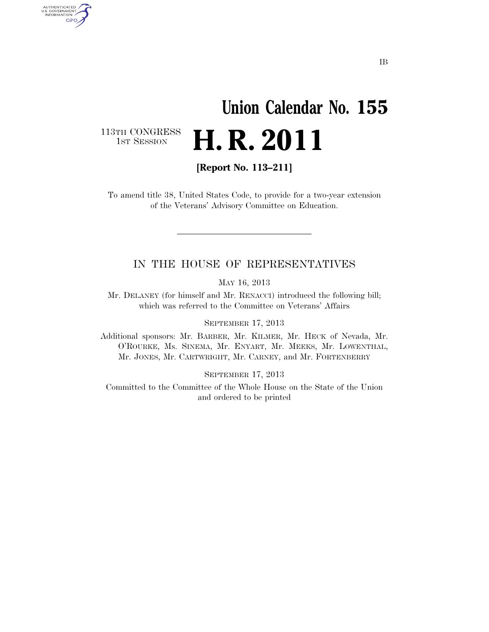## **Union Calendar No. 155**  H. R. 2011

113TH CONGRESS<br>1st Session

AUTHENTICATED<br>U.S. GOVERNMENT<br>INFORMATION GPO

**[Report No. 113–211]** 

To amend title 38, United States Code, to provide for a two-year extension of the Veterans' Advisory Committee on Education.

## IN THE HOUSE OF REPRESENTATIVES

MAY 16, 2013

Mr. DELANEY (for himself and Mr. RENACCI) introduced the following bill; which was referred to the Committee on Veterans' Affairs

SEPTEMBER 17, 2013

Additional sponsors: Mr. BARBER, Mr. KILMER, Mr. HECK of Nevada, Mr. O'ROURKE, Ms. SINEMA, Mr. ENYART, Mr. MEEKS, Mr. LOWENTHAL, Mr. JONES, Mr. CARTWRIGHT, Mr. CARNEY, and Mr. FORTENBERRY

SEPTEMBER 17, 2013

Committed to the Committee of the Whole House on the State of the Union and ordered to be printed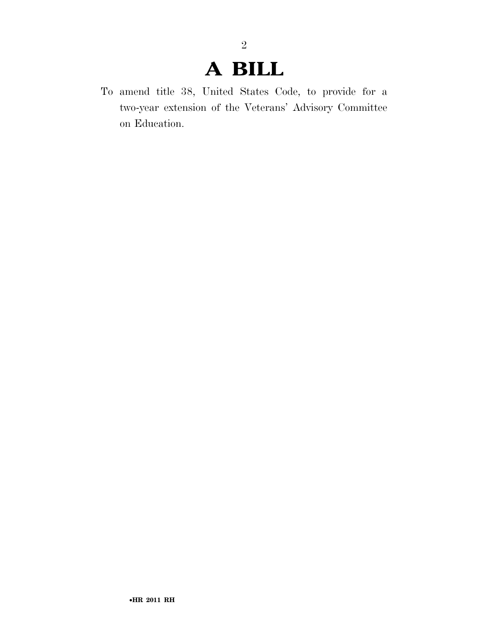## **A BILL**

2

To amend title 38, United States Code, to provide for a two-year extension of the Veterans' Advisory Committee on Education.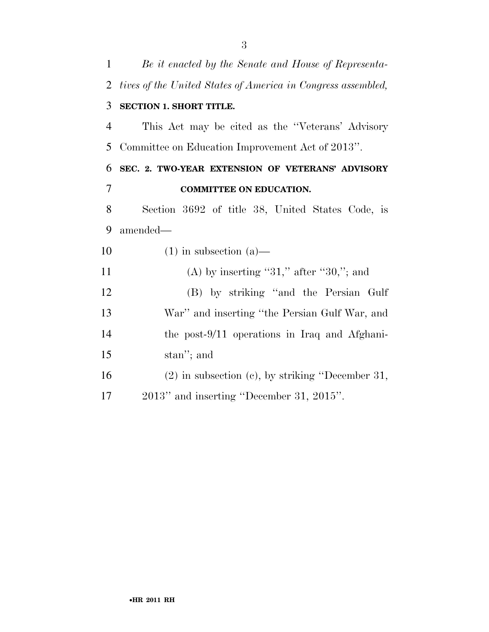| $\mathbf{1}$   | Be it enacted by the Senate and House of Representa-         |
|----------------|--------------------------------------------------------------|
| $\overline{2}$ | tives of the United States of America in Congress assembled, |
| 3              | <b>SECTION 1. SHORT TITLE.</b>                               |
| $\overline{4}$ | This Act may be cited as the "Veterans' Advisory             |
| 5              | Committee on Education Improvement Act of 2013".             |
| 6              | SEC. 2. TWO-YEAR EXTENSION OF VETERANS' ADVISORY             |
| 7              | <b>COMMITTEE ON EDUCATION.</b>                               |
| 8              | Section 3692 of title 38, United States Code, is             |
| 9              | amended—                                                     |
| 10             | $(1)$ in subsection $(a)$ —                                  |
| 11             | (A) by inserting "31," after "30,"; and                      |
| 12             | (B) by striking "and the Persian Gulf"                       |
| 13             | War" and inserting "the Persian Gulf War, and                |
| 14             | the post-9/11 operations in Iraq and Afghani-                |
| 15             | stan"; and                                                   |
| 16             | $(2)$ in subsection $(e)$ , by striking "December 31,        |
| 17             | 2013" and inserting "December 31, 2015".                     |